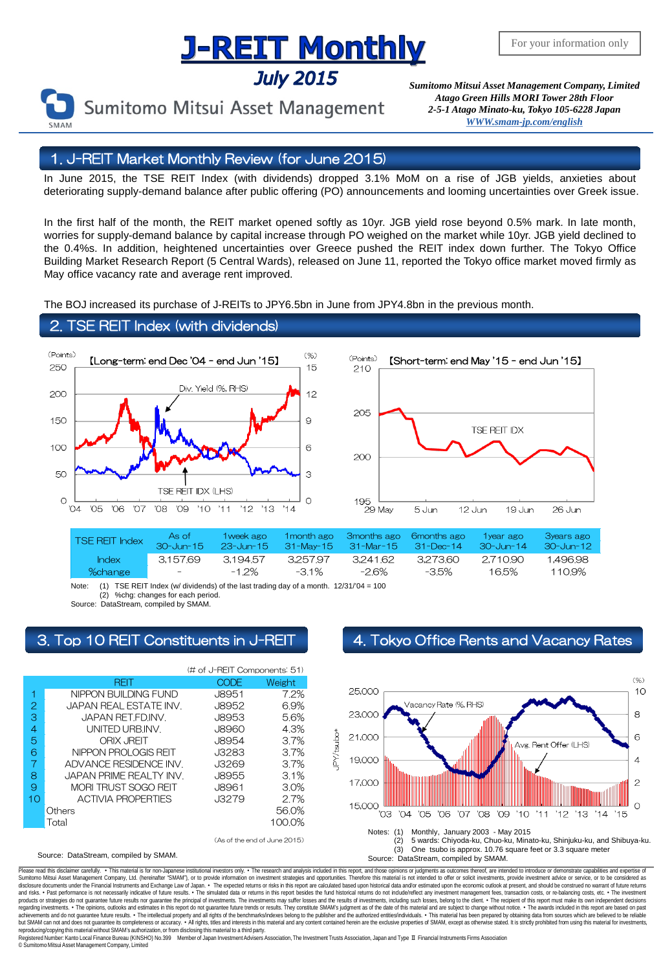# **J-REIT Monthly**

**July 2015** 

For your information only

*Sumitomo Mitsui Asset Management Company, Limited Atago Green Hills MORI Tower 28th Floor 2-5-1 Atago Minato-ku, Tokyo 105-6228 Japa[n](mailto:English@smam-jp.com) [WWW.smam-jp.com/english](http://www.smam-jp.com/english)*

Sumitomo Mitsui Asset Management

# 1. J-REIT Market Monthly Review (for June 2015)

In June 2015, the TSE REIT Index (with dividends) dropped 3.1% MoM on a rise of JGB yields, anxieties about deteriorating supply-demand balance after public offering (PO) announcements and looming uncertainties over Greek issue.

In the first half of the month, the REIT market opened softly as 10yr. JGB yield rose beyond 0.5% mark. In late month, worries for supply-demand balance by capital increase through PO weighed on the market while 10yr. JGB yield declined to the 0.4%s. In addition, heightened uncertainties over Greece pushed the REIT index down further. The Tokyo Office Building Market Research Report (5 Central Wards), released on June 11, reported the Tokyo office market moved firmly as May office vacancy rate and average rent improved.

The BOJ increased its purchase of J-REITs to JPY6.5bn in June from JPY4.8bn in the previous month.

## 2. TSE REIT Index (with dividends)





| <b>TSE REIT Index</b> | As of<br>$30 - \frac{1}{2}$ m-15 | 1 week ago |          | 1 month ago 3 months ago 6 months ago<br>23-Jun-15 31-May-15 31-Mar-15 31-Dec-14 |          | 1 year ago<br>$30 -$ Jun-14 | <b>B</b> years ago<br>- 30-Jun-12 - |
|-----------------------|----------------------------------|------------|----------|----------------------------------------------------------------------------------|----------|-----------------------------|-------------------------------------|
| <b>Index</b>          | 3.15769                          | 3.19457    | 3.257.97 | 3.241.62                                                                         | 3.27360  | 2.710.90                    | 1.496.98                            |
| %change               | $\sim$ $\sim$                    | $-1.2\%$   | $-31\%$  | -26%                                                                             | $-3.5\%$ | 16.5%                       | 1109%                               |

Note: (1) TSE REIT Index (w/ dividends) of the last trading day of a month.  $12/31/04 = 100$ <br>(2) %chg: changes for each period. %chg: changes for each period.

Source: DataStream, compiled by SMAM.

# 3. Top 10 REIT Constituents in J-REIT 4. Tokyo Office Rents and Vacancy Rates



### Source: DataStream, compiled by SMAM.



Please read this disclaimer carefuly. • This material is for non-Japanese institutional investors only. • The research and analysis included in this report, and those opinions or judgments as outcomes thereof, are intended disclosure documents under the Financial Instruments and Exchange Law of Japan. • The expected relums or risks in this report are calculated based upon historial data and/or estimated upon the economic outlook at present, products or strategies do not guarantee future results nor guarantee the principal of investments. The investments may suffer losses and the results of investments, including such losses, belong to the client. . The recipi regarding investments. • The opinions, outlooks and estimates in this report do not guarantee future trends or results. They constitute SMAM's judgment as of the date of this material and are subject to change without noti reproducing/copying this material without SMAM's authorization, or from disclosing thismaterial to a third party.

egistered Number: Kanto Local Finance Bureau (KINSHO) No.399 Member of Japan Investment Advisers Association, The Investment Trusts Association, Japan and Type Ⅱ Financial Instruments Firms Association © SumitomoMitsui Asset Management Company, Limited